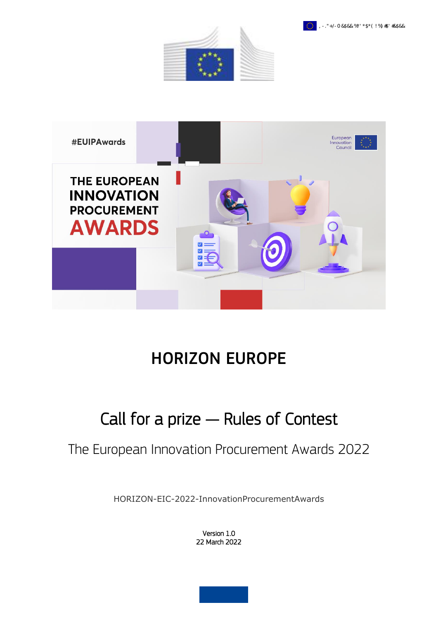





# HORIZON EUROPE

## Call for a prize — Rules of Contest

## The European Innovation Procurement Awards 2022

HORIZON-EIC-2022-InnovationProcurementAwards

Version 1.0 22 March 2022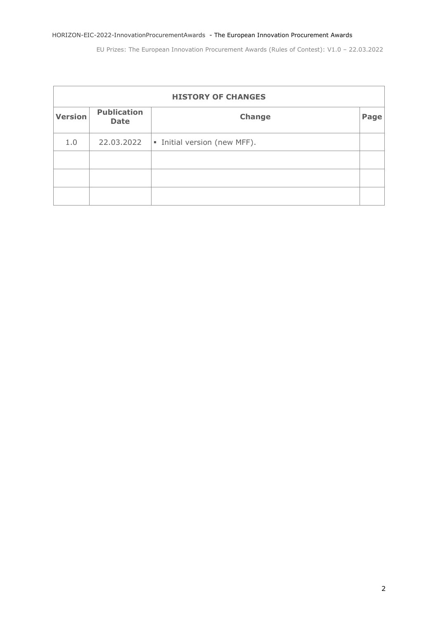| <b>HISTORY OF CHANGES</b> |                                   |                                    |                   |  |  |
|---------------------------|-----------------------------------|------------------------------------|-------------------|--|--|
| <b>Version</b>            | <b>Publication</b><br><b>Date</b> | Change                             | Page <sup>®</sup> |  |  |
| 1.0                       | 22.03.2022                        | $\vert$ Initial version (new MFF). |                   |  |  |
|                           |                                   |                                    |                   |  |  |
|                           |                                   |                                    |                   |  |  |
|                           |                                   |                                    |                   |  |  |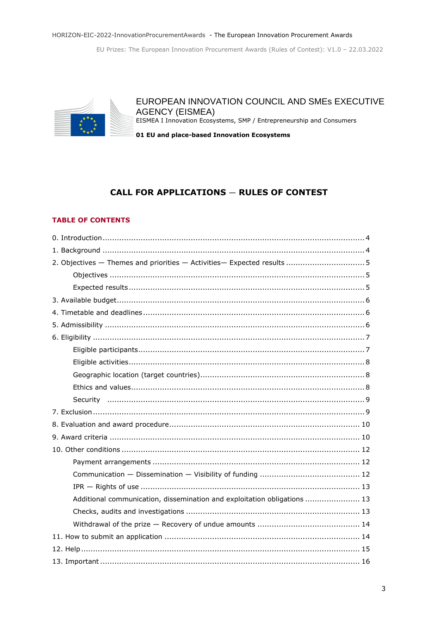EU Prizes: The European Innovation Procurement Awards (Rules of Contest): V1.0 - 22.03.2022



## EUROPEAN INNOVATION COUNCIL AND SMES EXECUTIVE **AGENCY (EISMEA)**

EISMEA I Innovation Ecosystems, SMP / Entrepreneurship and Consumers

01 EU and place-based Innovation Ecosystems

## **CALL FOR APPLICATIONS - RULES OF CONTEST**

## **TABLE OF CONTENTS**

| Additional communication, dissemination and exploitation obligations  13 |  |  |  |  |
|--------------------------------------------------------------------------|--|--|--|--|
|                                                                          |  |  |  |  |
|                                                                          |  |  |  |  |
|                                                                          |  |  |  |  |
|                                                                          |  |  |  |  |
|                                                                          |  |  |  |  |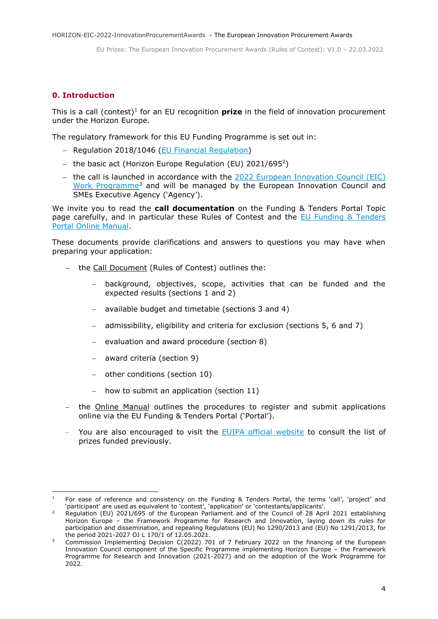## <span id="page-3-0"></span>**0. Introduction**

This is a call (contest)<sup>1</sup> for an EU recognition **prize** in the field of innovation procurement under the Horizon Europe.

The regulatory framework for this EU Funding Programme is set out in:

- Regulation 2018/1046 [\(EU Financial Regulation\)](https://eur-lex.europa.eu/legal-content/EN/ALL/?uri=CELEX:32018R1046&qid=1535046024012)
- $-$  the basic act (Horizon Europe Regulation (EU) 2021/695<sup>2</sup>)
- the call is launched in accordance with the  $2022$  European Innovation Council (EIC) [Work Programme](https://ec.europa.eu/info/funding-tenders/opportunities/docs/2021-2027/horizon/wp-call/2022/wp_horizon-eic-2022_en.pdf)<sup>3</sup> and will be managed by the European Innovation Council and SMEs Executive Agency ('Agency').

We invite you to read the **call documentation** on the Funding & Tenders Portal Topic page carefully, and in particular these Rules of Contest and the [EU Funding & Tenders](https://ec.europa.eu/info/funding-tenders/opportunities/docs/2021-2027/common/guidance/om_en.pdf)  [Portal Online Manual.](https://ec.europa.eu/info/funding-tenders/opportunities/docs/2021-2027/common/guidance/om_en.pdf)

These documents provide clarifications and answers to questions you may have when preparing your application:

- the Call Document (Rules of Contest) outlines the:
	- background, objectives, scope, activities that can be funded and the expected results (sections 1 and 2)
	- available budget and timetable (sections 3 and 4)
	- admissibility, eligibility and criteria for exclusion (sections 5, 6 and 7)
	- $-$  evaluation and award procedure (section 8)
	- award criteria (section 9)
	- other conditions (section 10)
	- $-$  how to submit an application (section 11)
- the Online Manual outlines the procedures to register and submit applications online via the EU Funding & Tenders Portal ('Portal').
- You are also encouraged to visit the [EUIPA official website](https://eic.ec.europa.eu/eic-funding-opportunities/eic-prizes/european-innovation-procurement-awards_en) to consult the list of prizes funded previously.

<sup>&</sup>lt;sup>1</sup> For ease of reference and consistency on the Funding & Tenders Portal, the terms 'call', 'project' and 'participant' are used as equivalent to 'contest', 'application' or 'contestants/applicants'.

<sup>2</sup> Regulation (EU) 2021/695 of the European Parliament and of the Council of 28 April 2021 establishing Horizon Europe – the Framework Programme for Research and Innovation, laying down its rules for participation and dissemination, and repealing Regulations (EU) No 1290/2013 and (EU) No 1291/2013, for the period 2021-2027 OJ L 170/1 of 12.05.2021.

Commission Implementing Decision C(2022) 701 of 7 February 2022 on the financing of the European Innovation Council component of the Specific Programme implementing Horizon Europe – the Framework Programme for Research and Innovation (2021-2027) and on the adoption of the Work Programme for 2022.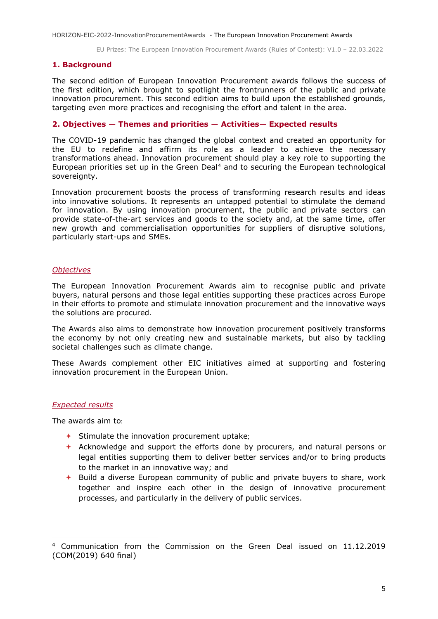## <span id="page-4-0"></span>**1. Background**

The second edition of European Innovation Procurement awards follows the success of the first edition, which brought to spotlight the frontrunners of the public and private innovation procurement. This second edition aims to build upon the established grounds, targeting even more practices and recognising the effort and talent in the area.

## <span id="page-4-1"></span>**2. Objectives — Themes and priorities — Activities— Expected results**

The COVID-19 pandemic has changed the global context and created an opportunity for the EU to redefine and affirm its role as a leader to achieve the necessary transformations ahead. Innovation procurement should play a key role to supporting the European priorities set up in the Green Deal<sup>4</sup> and to securing the European technological sovereignty.

Innovation procurement boosts the process of transforming research results and ideas into innovative solutions. It represents an untapped potential to stimulate the demand for innovation. By using innovation procurement, the public and private sectors can provide state-of-the-art services and goods to the society and, at the same time, offer new growth and commercialisation opportunities for suppliers of disruptive solutions, particularly start-ups and SMEs.

## <span id="page-4-2"></span>*Objectives*

The European Innovation Procurement Awards aim to recognise public and private buyers, natural persons and those legal entities supporting these practices across Europe in their efforts to promote and stimulate innovation procurement and the innovative ways the solutions are procured.

The Awards also aims to demonstrate how innovation procurement positively transforms the economy by not only creating new and sustainable markets, but also by tackling societal challenges such as climate change.

These Awards complement other EIC initiatives aimed at supporting and fostering innovation procurement in the European Union.

## <span id="page-4-3"></span>*Expected results*

The awards aim to:

- $\div$  Stimulate the innovation procurement uptake;
- Acknowledge and support the efforts done by procurers, and natural persons or legal entities supporting them to deliver better services and/or to bring products to the market in an innovative way; and
- $\rightarrow$  Build a diverse European community of public and private buyers to share, work together and inspire each other in the design of innovative procurement processes, and particularly in the delivery of public services.

<sup>4</sup> Communication from the Commission on the Green Deal issued on 11.12.2019 (COM(2019) 640 final)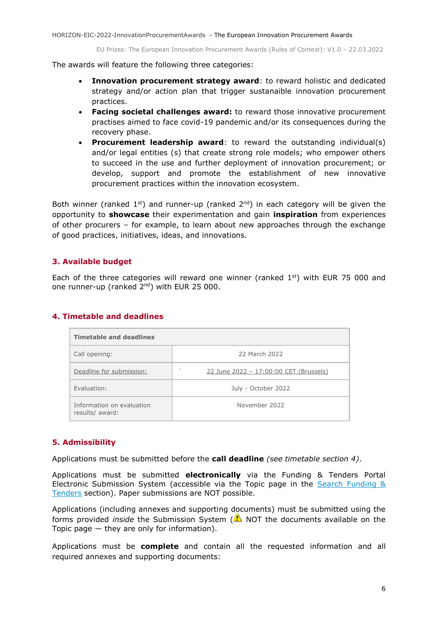The awards will feature the following three categories:

- **Innovation procurement strategy award**: to reward holistic and dedicated strategy and/or action plan that trigger sustanaible innovation procurement practices.
- **Facing societal challenges award:** to reward those innovative procurement practises aimed to face covid-19 pandemic and/or its consequences during the recovery phase.
- **Procurement leadership award**: to reward the outstanding individual(s) and/or legal entities (s) that create strong role models; who empower others to succeed in the use and further deployment of innovation procurement; or develop, support and promote the establishment of new innovative procurement practices within the innovation ecosystem.

Both winner (ranked 1<sup>st</sup>) and runner-up (ranked  $2<sup>nd</sup>$ ) in each category will be given the opportunity to **showcase** their experimentation and gain **inspiration** from experiences of other procurers – for example, to learn about new approaches through the exchange of good practices, initiatives, ideas, and innovations.

## <span id="page-5-0"></span>**3. Available budget**

Each of the three categories will reward one winner (ranked  $1<sup>st</sup>$ ) with EUR 75 000 and one runner-up (ranked 2<sup>nd</sup>) with EUR 25 000.

## <span id="page-5-1"></span>**4. Timetable and deadlines**

| <b>Timetable and deadlines</b>               |                                                                    |  |  |  |  |
|----------------------------------------------|--------------------------------------------------------------------|--|--|--|--|
| Call opening:                                | 22 March 2022                                                      |  |  |  |  |
| Deadline for submission:                     | $\overline{\phantom{a}}$<br>22 June 2022 - 17:00:00 CET (Brussels) |  |  |  |  |
| Evaluation:                                  | July - October 2022                                                |  |  |  |  |
| Information on evaluation<br>results/ award: | November 2022                                                      |  |  |  |  |

## <span id="page-5-2"></span>**5. Admissibility**

Applications must be submitted before the **call deadline** *(see timetable section 4)*.

Applications must be submitted **electronically** via the Funding & Tenders Portal Electronic Submission System (accessible via the Topic page in the [Search Funding &](https://ec.europa.eu/info/funding-tenders/opportunities/portal/screen/opportunities/topic-search;freeTextSearchKeyword=;typeCodes=0,1;statusCodes=31094501,31094502,31094503;programCode=null;programDivisionCode=null;focusAreaCode=null;crossCuttingPriorityCode=null;callCode=Default;sortQuery=openingDate;orderBy=asc;onlyTenders=false;topicListKey=topicSearchTablePageState)  [Tenders](https://ec.europa.eu/info/funding-tenders/opportunities/portal/screen/opportunities/topic-search;freeTextSearchKeyword=;typeCodes=0,1;statusCodes=31094501,31094502,31094503;programCode=null;programDivisionCode=null;focusAreaCode=null;crossCuttingPriorityCode=null;callCode=Default;sortQuery=openingDate;orderBy=asc;onlyTenders=false;topicListKey=topicSearchTablePageState) section). Paper submissions are NOT possible.

Applications (including annexes and supporting documents) must be submitted using the forms provided *inside* the Submission System (**A**) NOT the documents available on the Topic page  $-$  they are only for information).

Applications must be **complete** and contain all the requested information and all required annexes and supporting documents: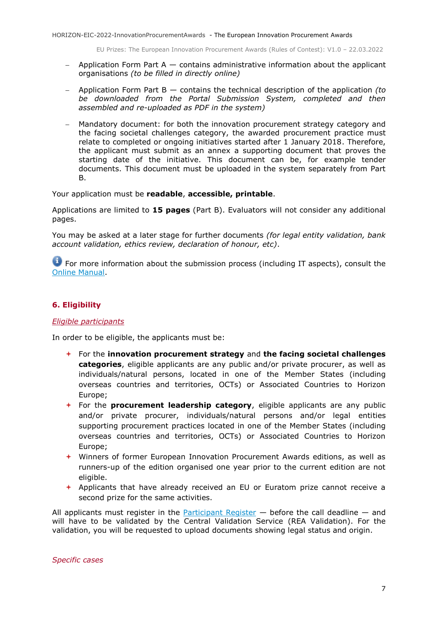- Application Form Part  $A -$  contains administrative information about the applicant organisations *(to be filled in directly online)*
- Application Form Part B contains the technical description of the application *(to be downloaded from the Portal Submission System, completed and then assembled and re-uploaded as PDF in the system)*
- Mandatory document: for both the innovation procurement strategy category and the facing societal challenges category, the awarded procurement practice must relate to completed or ongoing initiatives started after 1 January 2018. Therefore, the applicant must submit as an annex a supporting document that proves the starting date of the initiative. This document can be, for example tender documents. This document must be uploaded in the system separately from Part B.

Your application must be **readable**, **accessible, printable**.

Applications are limited to **15 pages** (Part B). Evaluators will not consider any additional pages.

You may be asked at a later stage for further documents *(for legal entity validation, bank account validation, ethics review, declaration of honour, etc)*.

**For more information about the submission process (including IT aspects), consult the** [Online Manual.](https://ec.europa.eu/info/funding-tenders/opportunities/docs/2021-2027/common/guidance/om_en.pdf)

## <span id="page-6-0"></span>**6. Eligibility**

## <span id="page-6-1"></span>*Eligible participants*

In order to be eligible, the applicants must be:

- For the **innovation procurement strategy** and **the facing societal challenges categories**, eligible applicants are any public and/or private procurer, as well as individuals/natural persons, located in one of the Member States (including overseas countries and territories, OCTs) or Associated Countries to Horizon Europe;
- For the **procurement leadership category**, eligible applicants are any public and/or private procurer, individuals/natural persons and/or legal entities supporting procurement practices located in one of the Member States (including overseas countries and territories, OCTs) or Associated Countries to Horizon Europe;
- Winners of former European Innovation Procurement Awards editions, as well as runners-up of the edition organised one year prior to the current edition are not eligible.
- $\rightarrow$  Applicants that have already received an EU or Euratom prize cannot receive a second prize for the same activities.

All applicants must register in the **Participant Register**  $-$  before the call deadline  $-$  and will have to be validated by the Central Validation Service (REA Validation). For the validation, you will be requested to upload documents showing legal status and origin.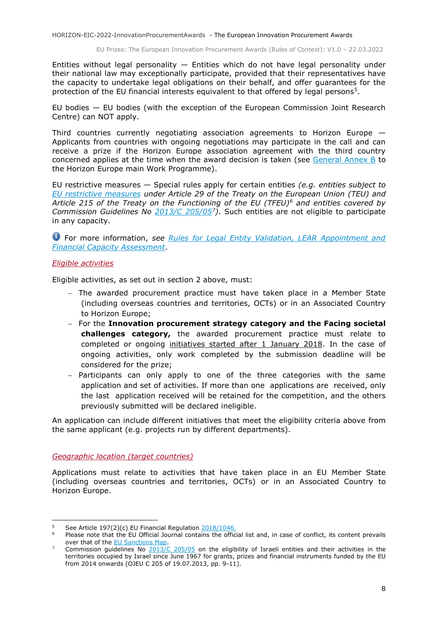EU Prizes: The European Innovation Procurement Awards (Rules of Contest): V1.0 – 22.03.2022

Entities without legal personality  $-$  Entities which do not have legal personality under their national law may exceptionally participate, provided that their representatives have the capacity to undertake legal obligations on their behalf, and offer guarantees for the protection of the EU financial interests equivalent to that offered by legal persons<sup>5</sup>.

EU bodies — EU bodies (with the exception of the European Commission Joint Research Centre) can NOT apply.

Third countries currently negotiating association agreements to Horizon Europe — Applicants from countries with ongoing negotiations may participate in the call and can receive a prize if the Horizon Europe association agreement with the third country concerned applies at the time when the award decision is taken (see [General Annex B](https://ec.europa.eu/info/funding-tenders/opportunities/docs/2021-2027/horizon/wp-call/2021-2022/wp-13-general-annexes_horizon-2021-2022_en.pdf) to the Horizon Europe main Work Programme).

EU restrictive measures — Special rules apply for certain entities *(e.g. entities subject to [EU restrictive measures](http://www.sanctionsmap.eu/) under Article 29 of the Treaty on the European Union (TEU) and Article 215 of the Treaty on the Functioning of the EU (TFEU)<sup>6</sup> and entities covered by Commission Guidelines No [2013/C 205/05](http://eur-lex.europa.eu/LexUriServ/LexUriServ.do?uri=OJ:C:2013:205:FULL:EN:PDF)<sup>7</sup> )*. Such entities are not eligible to participate in any capacity.

For more information, *see [Rules for Legal Entity Validation, LEAR Appointment and](https://ec.europa.eu/info/funding-tenders/opportunities/docs/2021-2027/common/guidance/rules-lev-lear-fca_en.pdf)  [Financial Capacity Assessment](https://ec.europa.eu/info/funding-tenders/opportunities/docs/2021-2027/common/guidance/rules-lev-lear-fca_en.pdf)*.

## <span id="page-7-0"></span>*Eligible activities*

Eligible activities, as set out in section 2 above, must:

- $-$  The awarded procurement practice must have taken place in a Member State (including overseas countries and territories, OCTs) or in an Associated Country to Horizon Europe;
- For the **Innovation procurement strategy category and the Facing societal challenges category,** the awarded procurement practice must relate to completed or ongoing initiatives started after 1 January 2018. In the case of ongoing activities, only work completed by the submission deadline will be considered for the prize;
- $-$  Participants can only apply to one of the three categories with the same application and set of activities. If more than one applications are received, only the last application received will be retained for the competition, and the others previously submitted will be declared ineligible.

An application can include different initiatives that meet the eligibility criteria above from the same applicant (e.g. projects run by different departments).

<span id="page-7-1"></span>*Geographic location (target countries)*

Applications must relate to activities that have taken place in an EU Member State (including overseas countries and territories, OCTs) or in an Associated Country to Horizon Europe.

<sup>&</sup>lt;sup>5</sup> See Article 197(2)(c) EU Financial Regulation  $\frac{2018/1046}{201}$ .

Please note that the EU Official Journal contains the official list and, in case of conflict, its content prevails over that of th[e EU Sanctions Map.](http://www.sanctionsmap.eu/)

Commission guidelines No  $2013/C 205/05$  on the eligibility of Israeli entities and their activities in the territories occupied by Israel since June 1967 for grants, prizes and financial instruments funded by the EU from 2014 onwards (OJEU C 205 of 19.07.2013, pp. 9-11).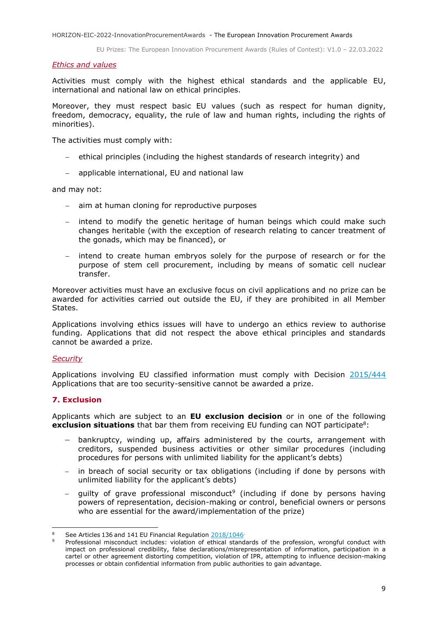#### <span id="page-8-0"></span>*Ethics and values*

Activities must comply with the highest ethical standards and the applicable EU, international and national law on ethical principles.

Moreover, they must respect basic EU values (such as respect for human dignity, freedom, democracy, equality, the rule of law and human rights, including the rights of minorities).

The activities must comply with:

- ethical principles (including the highest standards of research integrity) and
- applicable international, EU and national law

and may not:

- aim at human cloning for reproductive purposes
- intend to modify the genetic heritage of human beings which could make such changes heritable (with the exception of research relating to cancer treatment of the gonads, which may be financed), or
- intend to create human embryos solely for the purpose of research or for the purpose of stem cell procurement, including by means of somatic cell nuclear transfer.

Moreover activities must have an exclusive focus on civil applications and no prize can be awarded for activities carried out outside the EU, if they are prohibited in all Member States.

Applications involving ethics issues will have to undergo an ethics review to authorise funding. Applications that did not respect the above ethical principles and standards cannot be awarded a prize.

#### <span id="page-8-1"></span>*Security*

1

Applications involving EU classified information must comply with Decision [2015/444](https://eur-lex.europa.eu/legal-content/EN/ALL/?uri=CELEX:32015D0444&qid=1586092489803) Applications that are too security-sensitive cannot be awarded a prize.

## <span id="page-8-2"></span>**7. Exclusion**

Applicants which are subject to an **EU exclusion decision** or in one of the following **exclusion situations** that bar them from receiving EU funding can NOT participate<sup>8</sup>:

- bankruptcy, winding up, affairs administered by the courts, arrangement with creditors, suspended business activities or other similar procedures (including procedures for persons with unlimited liability for the applicant's debts)
- in breach of social security or tax obligations (including if done by persons with unlimited liability for the applicant's debts)
- $-$  guilty of grave professional misconduct<sup>9</sup> (including if done by persons having powers of representation, decision-making or control, beneficial owners or persons who are essential for the award/implementation of the prize)

See Articles 136 and 141 EU Financial Regulation [2018/1046](https://eur-lex.europa.eu/legal-content/EN/ALL/?uri=CELEX:32018R1046&qid=1535046024012)

Professional misconduct includes: violation of ethical standards of the profession, wrongful conduct with impact on professional credibility, false declarations/misrepresentation of information, participation in a cartel or other agreement distorting competition, violation of IPR, attempting to influence decision-making processes or obtain confidential information from public authorities to gain advantage.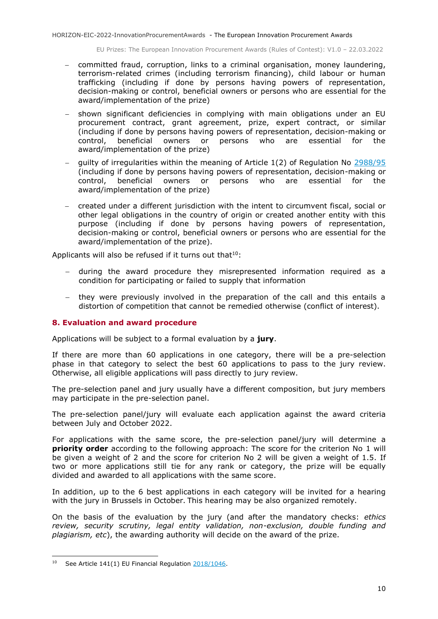- committed fraud, corruption, links to a criminal organisation, money laundering, terrorism-related crimes (including terrorism financing), child labour or human trafficking (including if done by persons having powers of representation, decision-making or control, beneficial owners or persons who are essential for the award/implementation of the prize)
- shown significant deficiencies in complying with main obligations under an EU procurement contract, grant agreement, prize, expert contract, or similar (including if done by persons having powers of representation, decision-making or control, beneficial owners or persons who are essential for the award/implementation of the prize)
- guilty of irregularities within the meaning of Article 1(2) of Regulation No [2988/95](http://eur-lex.europa.eu/legal-content/EN/ALL/?uri=CELEX:31995R2988&qid=1501598622514) (including if done by persons having powers of representation, decision-making or control, beneficial owners or persons who are essential for the award/implementation of the prize)
- created under a different jurisdiction with the intent to circumvent fiscal, social or other legal obligations in the country of origin or created another entity with this purpose (including if done by persons having powers of representation, decision-making or control, beneficial owners or persons who are essential for the award/implementation of the prize).

Applicants will also be refused if it turns out that $10$ :

- during the award procedure they misrepresented information required as a condition for participating or failed to supply that information
- they were previously involved in the preparation of the call and this entails a distortion of competition that cannot be remedied otherwise (conflict of interest).

## <span id="page-9-0"></span>**8. Evaluation and award procedure**

Applications will be subject to a formal evaluation by a **jury**.

If there are more than 60 applications in one category, there will be a pre-selection phase in that category to select the best 60 applications to pass to the jury review. Otherwise, all eligible applications will pass directly to jury review.

The pre-selection panel and jury usually have a different composition, but jury members may participate in the pre-selection panel.

The pre-selection panel/jury will evaluate each application against the award criteria between July and October 2022.

For applications with the same score, the pre-selection panel/jury will determine a **priority order** according to the following approach: The score for the criterion No 1 will be given a weight of 2 and the score for criterion No 2 will be given a weight of 1.5. If two or more applications still tie for any rank or category, the prize will be equally divided and awarded to all applications with the same score.

In addition, up to the 6 best applications in each category will be invited for a hearing with the jury in Brussels in October. This hearing may be also organized remotely.

On the basis of the evaluation by the jury (and after the mandatory checks: *ethics review, security scrutiny, legal entity validation, non-exclusion, double funding and plagiarism, etc*), the awarding authority will decide on the award of the prize.

1

<sup>&</sup>lt;sup>10</sup> See Article 141(1) EU Financial Regulation  $2018/1046$ .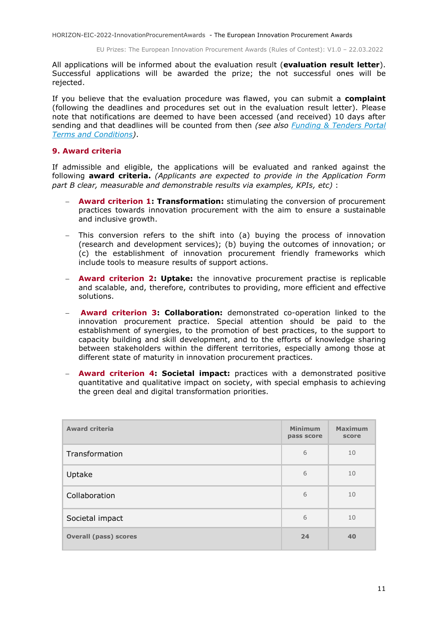EU Prizes: The European Innovation Procurement Awards (Rules of Contest): V1.0 – 22.03.2022

All applications will be informed about the evaluation result (**evaluation result letter**). Successful applications will be awarded the prize; the not successful ones will be rejected.

If you believe that the evaluation procedure was flawed, you can submit a **complaint** (following the deadlines and procedures set out in the evaluation result letter). Please note that notifications are deemed to have been accessed (and received) 10 days after sending and that deadlines will be counted from then *(see also [Funding & Tenders Portal](https://ec.europa.eu/info/funding-tenders/opportunities/docs/2021-2027/common/ftp/tc_en.pdf)  [Terms and Conditions\)](https://ec.europa.eu/info/funding-tenders/opportunities/docs/2021-2027/common/ftp/tc_en.pdf)*.

## <span id="page-10-0"></span>**9. Award criteria**

If admissible and eligible, the applications will be evaluated and ranked against the following **award criteria.** *(Applicants are expected to provide in the Application Form part B clear, measurable and demonstrable results via examples, KPIs, etc)* :

- **Award criterion 1: Transformation:** stimulating the conversion of procurement practices towards innovation procurement with the aim to ensure a sustainable and inclusive growth.
- This conversion refers to the shift into (a) buying the process of innovation (research and development services); (b) buying the outcomes of innovation; or (c) the establishment of innovation procurement friendly frameworks which include tools to measure results of support actions.
- **Award criterion 2: Uptake:** the innovative procurement practise is replicable and scalable, and, therefore, contributes to providing, more efficient and effective solutions.
- **Award criterion 3: Collaboration:** demonstrated co-operation linked to the innovation procurement practice. Special attention should be paid to the establishment of synergies, to the promotion of best practices, to the support to capacity building and skill development, and to the efforts of knowledge sharing between stakeholders within the different territories, especially among those at different state of maturity in innovation procurement practices.
- **Award criterion 4: Societal impact:** practices with a demonstrated positive quantitative and qualitative impact on society, with special emphasis to achieving the green deal and digital transformation priorities.

| <b>Award criteria</b>        | <b>Minimum</b><br>pass score | <b>Maximum</b><br>score |
|------------------------------|------------------------------|-------------------------|
| Transformation               | 6                            | 10                      |
| Uptake                       | 6                            | 10                      |
| Collaboration                | 6                            | 10                      |
| Societal impact              | 6                            | 10                      |
| <b>Overall (pass) scores</b> | 24                           | 40                      |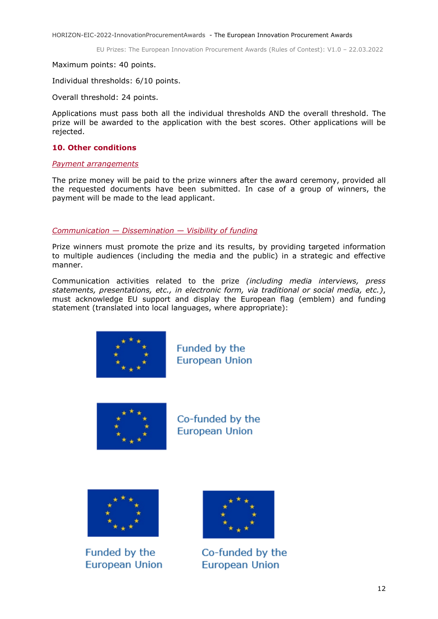Maximum points: 40 points.

Individual thresholds: 6/10 points.

Overall threshold: 24 points.

Applications must pass both all the individual thresholds AND the overall threshold. The prize will be awarded to the application with the best scores. Other applications will be rejected.

## <span id="page-11-0"></span>**10. Other conditions**

#### <span id="page-11-1"></span>*Payment arrangements*

The prize money will be paid to the prize winners after the award ceremony, provided all the requested documents have been submitted. In case of a group of winners, the payment will be made to the lead applicant.

## <span id="page-11-2"></span>*Communication — Dissemination — Visibility of funding*

Prize winners must promote the prize and its results, by providing targeted information to multiple audiences (including the media and the public) in a strategic and effective manner.

Communication activities related to the prize *(including media interviews, press statements, presentations, etc., in electronic form, via traditional or social media, etc.)*, must acknowledge EU support and display the European flag (emblem) and funding statement (translated into local languages, where appropriate):



Funded by the **European Union** 



Co-funded by the **European Union** 



Funded by the European Union



Co-funded by the **European Union**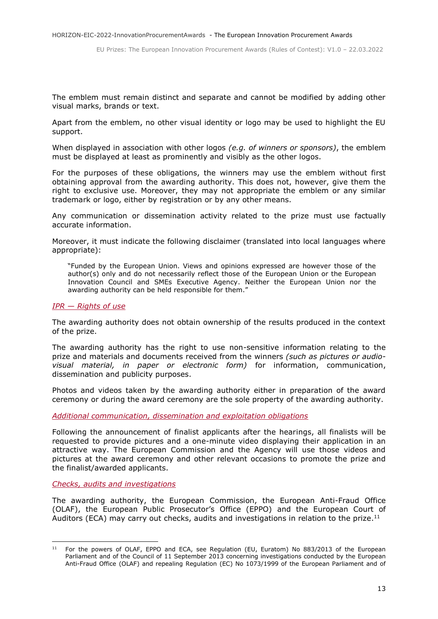The emblem must remain distinct and separate and cannot be modified by adding other visual marks, brands or text.

Apart from the emblem, no other visual identity or logo may be used to highlight the EU support.

When displayed in association with other logos *(e.g. of winners or sponsors)*, the emblem must be displayed at least as prominently and visibly as the other logos.

For the purposes of these obligations, the winners may use the emblem without first obtaining approval from the awarding authority. This does not, however, give them the right to exclusive use. Moreover, they may not appropriate the emblem or any similar trademark or logo, either by registration or by any other means.

Any communication or dissemination activity related to the prize must use factually accurate information.

Moreover, it must indicate the following disclaimer (translated into local languages where appropriate):

"Funded by the European Union. Views and opinions expressed are however those of the author(s) only and do not necessarily reflect those of the European Union or the European Innovation Council and SMEs Executive Agency. Neither the European Union nor the awarding authority can be held responsible for them."

#### <span id="page-12-0"></span>*IPR — Rights of use*

The awarding authority does not obtain ownership of the results produced in the context of the prize.

The awarding authority has the right to use non-sensitive information relating to the prize and materials and documents received from the winners *(such as pictures or audiovisual material, in paper or electronic form)* for information, communication, dissemination and publicity purposes.

Photos and videos taken by the awarding authority either in preparation of the award ceremony or during the award ceremony are the sole property of the awarding authority.

<span id="page-12-1"></span>*Additional communication, dissemination and exploitation obligations*

Following the announcement of finalist applicants after the hearings, all finalists will be requested to provide pictures and a one-minute video displaying their application in an attractive way. The European Commission and the Agency will use those videos and pictures at the award ceremony and other relevant occasions to promote the prize and the finalist/awarded applicants.

<span id="page-12-2"></span>*Checks, audits and investigations*

1

The awarding authority, the European Commission, the European Anti-Fraud Office (OLAF), the European Public Prosecutor's Office (EPPO) and the European Court of Auditors (ECA) may carry out checks, audits and investigations in relation to the prize.<sup>11</sup>

<sup>&</sup>lt;sup>11</sup> For the powers of OLAF, EPPO and ECA, see Regulation (EU, Euratom) No 883/2013 of the European Parliament and of the Council of 11 September 2013 concerning investigations conducted by the European Anti-Fraud Office (OLAF) and repealing Regulation (EC) No 1073/1999 of the European Parliament and of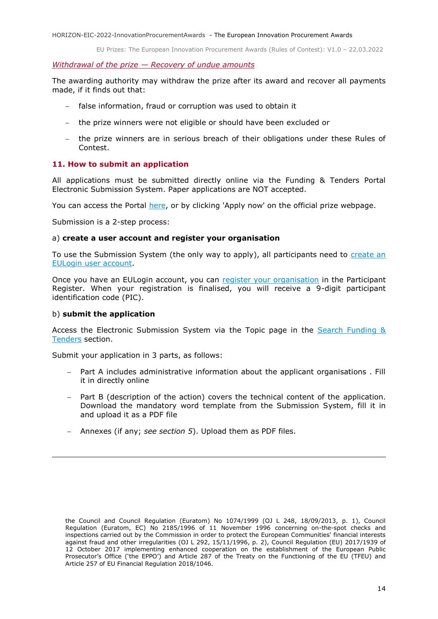#### <span id="page-13-0"></span>*Withdrawal of the prize — Recovery of undue amounts*

The awarding authority may withdraw the prize after its award and recover all payments made, if it finds out that:

- false information, fraud or corruption was used to obtain it
- the prize winners were not eligible or should have been excluded or
- the prize winners are in serious breach of their obligations under these Rules of Contest.

## <span id="page-13-1"></span>**11. How to submit an application**

All applications must be submitted directly online via the Funding & Tenders Portal Electronic Submission System. Paper applications are NOT accepted.

You can access the Portal [here,](https://ec.europa.eu/info/funding-tenders/opportunities/portal/screen/home) or by clicking 'Apply now' on the official prize webpage.

Submission is a 2-step process:

## a) **create a user account and register your organisation**

To use the Submission System (the only way to apply), all participants need to [create an](https://webgate.ec.europa.eu/cas/eim/external/register.cgi)  [EULogin user account.](https://webgate.ec.europa.eu/cas/eim/external/register.cgi)

Once you have an EULogin account, you can [register your organisation](https://ec.europa.eu/info/funding-tenders/opportunities/portal/screen/how-to-participate/participant-register) in the Participant Register. When your registration is finalised, you will receive a 9-digit participant identification code (PIC).

#### b) **submit the application**

Access the Electronic Submission System via the Topic page in the [Search Funding &](https://ec.europa.eu/info/funding-tenders/opportunities/portal/screen/opportunities/topic-search;freeTextSearchKeyword=;typeCodes=0,1;statusCodes=31094501,31094502,31094503;programCode=null;programDivisionCode=null;focusAreaCode=null;crossCuttingPriorityCode=null;callCode=Default;sortQuery=openingDate;orderBy=asc;onlyTenders=false;topicListKey=topicSearchTablePageState)  [Tenders](https://ec.europa.eu/info/funding-tenders/opportunities/portal/screen/opportunities/topic-search;freeTextSearchKeyword=;typeCodes=0,1;statusCodes=31094501,31094502,31094503;programCode=null;programDivisionCode=null;focusAreaCode=null;crossCuttingPriorityCode=null;callCode=Default;sortQuery=openingDate;orderBy=asc;onlyTenders=false;topicListKey=topicSearchTablePageState) section.

Submit your application in 3 parts, as follows:

- Part A includes administrative information about the applicant organisations . Fill it in directly online
- Part B (description of the action) covers the technical content of the application. Download the mandatory word template from the Submission System, fill it in and upload it as a PDF file
- Annexes (if any; *see section 5*). Upload them as PDF files.

the Council and Council Regulation (Euratom) No 1074/1999 (OJ L 248, 18/09/2013, p. 1), Council Regulation (Euratom, EC) No 2185/1996 of 11 November 1996 concerning on-the-spot checks and inspections carried out by the Commission in order to protect the European Communities' financial interests against fraud and other irregularities (OJ L 292, 15/11/1996, p. 2), Council Regulation (EU) 2017/1939 of 12 October 2017 implementing enhanced cooperation on the establishment of the European Public Prosecutor's Office ('the EPPO') and Article 287 of the Treaty on the Functioning of the EU (TFEU) and Article 257 of EU Financial Regulation 2018/1046.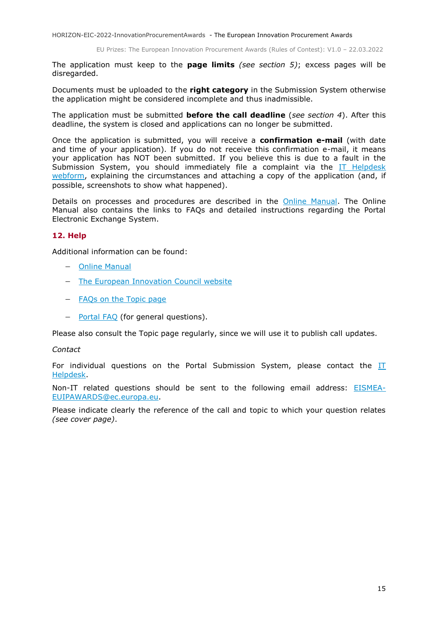EU Prizes: The European Innovation Procurement Awards (Rules of Contest): V1.0 – 22.03.2022

The application must keep to the **page limits** *(see section 5)*; excess pages will be disregarded.

Documents must be uploaded to the **right category** in the Submission System otherwise the application might be considered incomplete and thus inadmissible.

The application must be submitted **before the call deadline** (*see section 4*). After this deadline, the system is closed and applications can no longer be submitted.

Once the application is submitted, you will receive a **confirmation e-mail** (with date and time of your application). If you do not receive this confirmation e-mail, it means your application has NOT been submitted. If you believe this is due to a fault in the Submission System, you should immediately file a complaint via the  $IT$  Helpdesk [webform,](https://ec.europa.eu/info/funding-tenders/opportunities/portal/screen/support/helpdesks/contact-form) explaining the circumstances and attaching a copy of the application (and, if possible, screenshots to show what happened).

Details on processes and procedures are described in the [Online Manual.](https://ec.europa.eu/info/funding-tenders/opportunities/docs/2021-2027/common/guidance/om_en.pdf) The Online Manual also contains the links to FAQs and detailed instructions regarding the Portal Electronic Exchange System.

## <span id="page-14-0"></span>**12. Help**

Additional information can be found:

- [Online Manual](http://ec.europa.eu/research/participants/docs/h2020-funding-guide/grants/applying-for-funding/submit-proposals/submission-tool_en.htm)
- [The European Innovation Council website](https://eic.ec.europa.eu/index_en)
- [FAQs on the Topic page](https://ec.europa.eu/info/funding-tenders/opportunities/portal/screen/support/faq;grantAndTendertype=1;categories=;programme=null;actions=;keyword=HORIZON-EIC-2021-InnovationProcurementAwardsPrize;period=null)
- [Portal FAQ](https://ec.europa.eu/info/funding-tenders/opportunities/portal/screen/support/faq;categories=;programme=null;actions=;keyword=) (for general questions).

Please also consult the Topic page regularly, since we will use it to publish call updates.

#### *Contact*

For individual questions on the Portal Submission System, please contact the  $II$ [Helpdesk.](https://ec.europa.eu/info/funding-tenders/opportunities/portal/screen/support/helpdesks/contact-form)

Non-IT related questions should be sent to the following email address: [EISMEA-](mailto:EISMEA-EUIPAWARDS@ec.europa.eu)[EUIPAWARDS@ec.europa.eu.](mailto:EISMEA-EUIPAWARDS@ec.europa.eu)

Please indicate clearly the reference of the call and topic to which your question relates *(see cover page)*.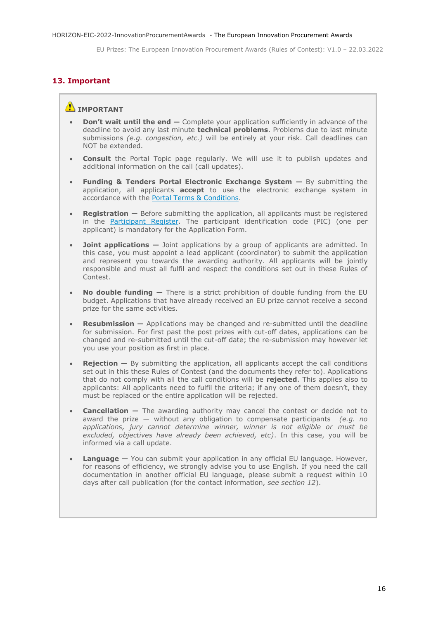## <span id="page-15-0"></span>**13. Important**

## **IMPORTANT**

- **Don't wait until the end —** Complete your application sufficiently in advance of the deadline to avoid any last minute **technical problems**. Problems due to last minute submissions *(e.g. congestion, etc.)* will be entirely at your risk. Call deadlines can NOT be extended.
- **Consult** the Portal Topic page regularly. We will use it to publish updates and additional information on the call (call updates).
- **Funding & Tenders Portal Electronic Exchange System —** By submitting the application, all applicants **accept** to use the electronic exchange system in accordance with the [Portal Terms & Conditions.](https://ec.europa.eu/info/funding-tenders/opportunities/docs/2021-2027/common/ftp/tc_en.pdf)
- **Registration** Before submitting the application, all applicants must be registered in the [Participant Register.](https://ec.europa.eu/info/funding-tenders/opportunities/portal/screen/how-to-participate/participant-register) The participant identification code (PIC) (one per applicant) is mandatory for the Application Form.
- **Joint applications**  $-$  Joint applications by a group of applicants are admitted. In this case, you must appoint a lead applicant (coordinator) to submit the application and represent you towards the awarding authority. All applicants will be jointly responsible and must all fulfil and respect the conditions set out in these Rules of Contest.
- **No double funding —** There is a strict prohibition of double funding from the EU budget. Applications that have already received an EU prize cannot receive a second prize for the same activities.
- **Resubmission —** Applications may be changed and re-submitted until the deadline for submission. For first past the post prizes with cut-off dates, applications can be changed and re-submitted until the cut-off date; the re-submission may however let you use your position as first in place.
- **Rejection** By submitting the application, all applicants accept the call conditions set out in this these Rules of Contest (and the documents they refer to). Applications that do not comply with all the call conditions will be **rejected**. This applies also to applicants: All applicants need to fulfil the criteria; if any one of them doesn't, they must be replaced or the entire application will be rejected.
- **Cancellation –** The awarding authority may cancel the contest or decide not to award the prize — without any obligation to compensate participants *(e.g. no applications, jury cannot determine winner, winner is not eligible or must be excluded, objectives have already been achieved, etc)*. In this case, you will be informed via a call update.
- **Language —** You can submit your application in any official EU language. However, for reasons of efficiency, we strongly advise you to use English. If you need the call documentation in another official EU language, please submit a request within 10 days after call publication (for the contact information, *see section 12*).